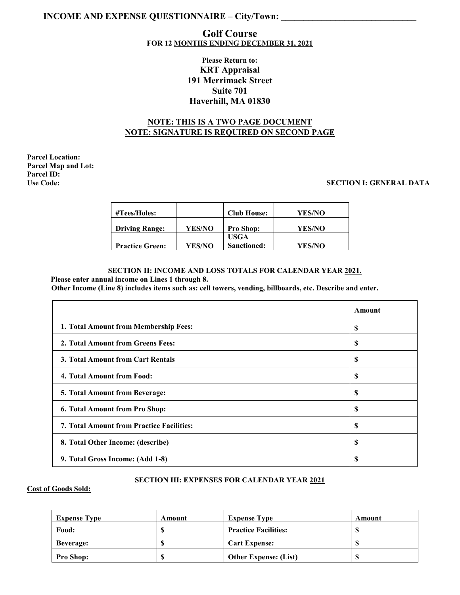# **INCOME AND EXPENSE QUESTIONNAIRE – City/Town:**

# **Golf Course FOR 12 MONTHS ENDING DECEMBER 31, 2021**

# **Please Return to: KRT Appraisal 191 Merrimack Street Suite 701 Haverhill, MA 01830**

# **NOTE: THIS IS A TWO PAGE DOCUMENT NOTE: SIGNATURE IS REQUIRED ON SECOND PAGE**

**Parcel Location: Parcel Map and Lot: Parcel ID:**

### **Use Code: SECTION I: GENERAL DATA**

| $\# {\rm Tees/Holes:}$ |               | <b>Club House:</b> | YES/NO |
|------------------------|---------------|--------------------|--------|
| <b>Driving Range:</b>  | YES/NO        | <b>Pro Shop:</b>   | YES/NO |
|                        |               | <b>USGA</b>        |        |
| <b>Practice Green:</b> | <b>YES/NO</b> | Sanctioned:        | YES/NO |

#### **SECTION II: INCOME AND LOSS TOTALS FOR CALENDAR YEAR 2021. Please enter annual income on Lines 1 through 8.**

**Other Income (Line 8) includes items such as: cell towers, vending, billboards, etc. Describe and enter.**

|                                                  | Amount |
|--------------------------------------------------|--------|
| 1. Total Amount from Membership Fees:            | S      |
| 2. Total Amount from Greens Fees:                | \$     |
| 3. Total Amount from Cart Rentals                | \$     |
| 4. Total Amount from Food:                       | S      |
| 5. Total Amount from Beverage:                   | \$     |
| 6. Total Amount from Pro Shop:                   | S      |
| <b>7. Total Amount from Practice Facilities:</b> | S      |
| 8. Total Other Income: (describe)                | \$     |
| 9. Total Gross Income: (Add 1-8)                 | \$     |

### **SECTION III: EXPENSES FOR CALENDAR YEAR 2021**

### **Cost of Goods Sold:**

| <b>Expense Type</b> | Amount   | <b>Expense Type</b>          | Amount  |
|---------------------|----------|------------------------------|---------|
| Food:               | œ        | <b>Practice Facilities:</b>  | ¢<br>۰D |
| <b>Beverage:</b>    | AD.      | <b>Cart Expense:</b>         | ¢<br>D  |
| <b>Pro Shop:</b>    | œ<br>AD. | <b>Other Expense: (List)</b> | S       |